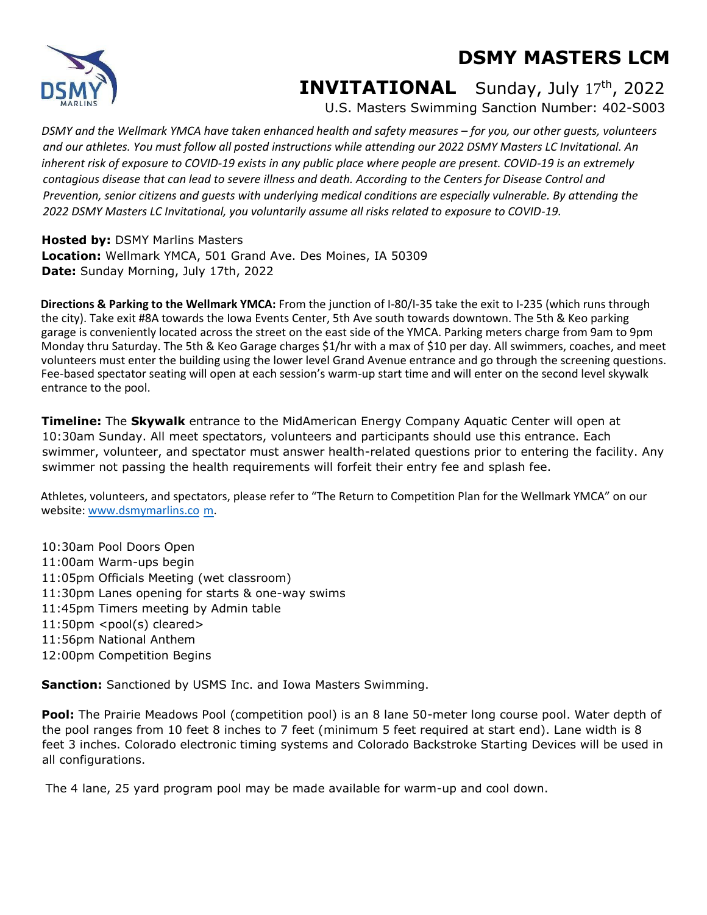## **DSMY MASTERS LCM**



## **INVITATIONAL** Sunday, July 17th, 2022

U.S. Masters Swimming Sanction Number: 402-S003

*DSMY and the Wellmark YMCA have taken enhanced health and safety measures – for you, our other guests, volunteers and our athletes. You must follow all posted instructions while attending our 2022 DSMY Masters LC Invitational. An inherent risk of exposure to COVID-19 exists in any public place where people are present. COVID-19 is an extremely contagious disease that can lead to severe illness and death. According to the Centers for Disease Control and Prevention, senior citizens and guests with underlying medical conditions are especially vulnerable. By attending the 2022 DSMY Masters LC Invitational, you voluntarily assume all risks related to exposure to COVID-19.*

**Hosted by:** DSMY Marlins Masters **Location:** Wellmark YMCA, 501 Grand Ave. Des Moines, IA 50309 **Date:** Sunday Morning, July 17th, 2022

**Directions & Parking to the Wellmark YMCA:** From the junction of I-80/I-35 take the exit to I-235 (which runs through the city). Take exit #8A towards the Iowa Events Center, 5th Ave south towards downtown. The 5th & Keo parking garage is conveniently located across the street on the east side of the YMCA. Parking meters charge from 9am to 9pm Monday thru Saturday. The 5th & Keo Garage charges \$1/hr with a max of \$10 per day. All swimmers, coaches, and meet volunteers must enter the building using the lower level Grand Avenue entrance and go through the screening questions. Fee-based spectator seating will open at each session's warm-up start time and will enter on the second level skywalk entrance to the pool.

**Timeline:** The **Skywalk** entrance to the MidAmerican Energy Company Aquatic Center will open at 10:30am Sunday. All meet spectators, volunteers and participants should use this entrance. Each swimmer, volunteer, and spectator must answer health-related questions prior to entering the facility. Any swimmer not passing the health requirements will forfeit their entry fee and splash fee.

Athletes, volunteers, and spectators, please refer to "The Return to Competition Plan for the Wellmark YMCA" on our website: [www.dsmymarlins.co](https://www.teamunify.com/SubTabGeneric.jsp?team=ymca-2165&_stabid_=207637) [m.](https://www.teamunify.com/SubTabGeneric.jsp?team=ymca-2165&_stabid_=207637)

10:30am Pool Doors Open 11:00am Warm-ups begin 11:05pm Officials Meeting (wet classroom) 11:30pm Lanes opening for starts & one-way swims 11:45pm Timers meeting by Admin table 11:50pm <pool(s) cleared> 11:56pm National Anthem 12:00pm Competition Begins

**Sanction:** Sanctioned by USMS Inc. and Iowa Masters Swimming.

**Pool:** The Prairie Meadows Pool (competition pool) is an 8 lane 50-meter long course pool. Water depth of the pool ranges from 10 feet 8 inches to 7 feet (minimum 5 feet required at start end). Lane width is 8 feet 3 inches. Colorado electronic timing systems and Colorado Backstroke Starting Devices will be used in all configurations.

The 4 lane, 25 yard program pool may be made available for warm-up and cool down.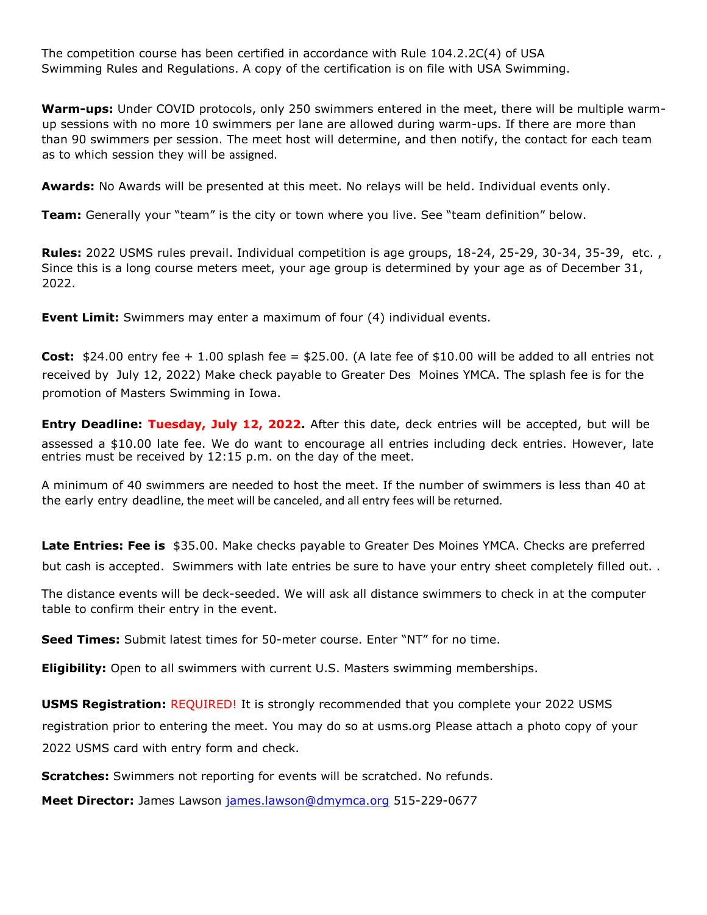The competition course has been certified in accordance with Rule 104.2.2C(4) of USA Swimming Rules and Regulations. A copy of the certification is on file with USA Swimming.

**Warm-ups:** Under COVID protocols, only 250 swimmers entered in the meet, there will be multiple warmup sessions with no more 10 swimmers per lane are allowed during warm-ups. If there are more than than 90 swimmers per session. The meet host will determine, and then notify, the contact for each team as to which session they will be assigned.

**Awards:** No Awards will be presented at this meet. No relays will be held. Individual events only.

**Team:** Generally your "team" is the city or town where you live. See "team definition" below.

**Rules:** 2022 USMS rules prevail. Individual competition is age groups, 18-24, 25-29, 30-34, 35-39, etc. , Since this is a long course meters meet, your age group is determined by your age as of December 31, 2022.

**Event Limit:** Swimmers may enter a maximum of four (4) individual events.

**Cost:**  $$24.00$  entry fee  $+1.00$  splash fee =  $$25.00$ . (A late fee of  $$10.00$  will be added to all entries not received by July 12, 2022) Make check payable to Greater Des Moines YMCA. The splash fee is for the promotion of Masters Swimming in Iowa.

**Entry Deadline: Tuesday, July 12, 2022.** After this date, deck entries will be accepted, but will be assessed a \$10.00 late fee. We do want to encourage all entries including deck entries. However, late entries must be received by 12:15 p.m. on the day of the meet.

A minimum of 40 swimmers are needed to host the meet. If the number of swimmers is less than 40 at the early entry deadline, the meet will be canceled, and all entry fees will be returned.

**Late Entries: Fee is** \$35.00. Make checks payable to Greater Des Moines YMCA. Checks are preferred but cash is accepted. Swimmers with late entries be sure to have your entry sheet completely filled out. .

The distance events will be deck-seeded. We will ask all distance swimmers to check in at the computer table to confirm their entry in the event.

**Seed Times:** Submit latest times for 50-meter course. Enter "NT" for no time.

**Eligibility:** Open to all swimmers with current U.S. Masters swimming memberships.

**USMS Registration:** REQUIRED! It is strongly recommended that you complete your 2022 USMS registration prior to entering the meet. You may do so at usms.org Please attach a photo copy of your 2022 USMS card with entry form and check.

**Scratches:** Swimmers not reporting for events will be scratched. No refunds.

**Meet Director:** James Lawson james.lawson@dmymca.org 515-229-0677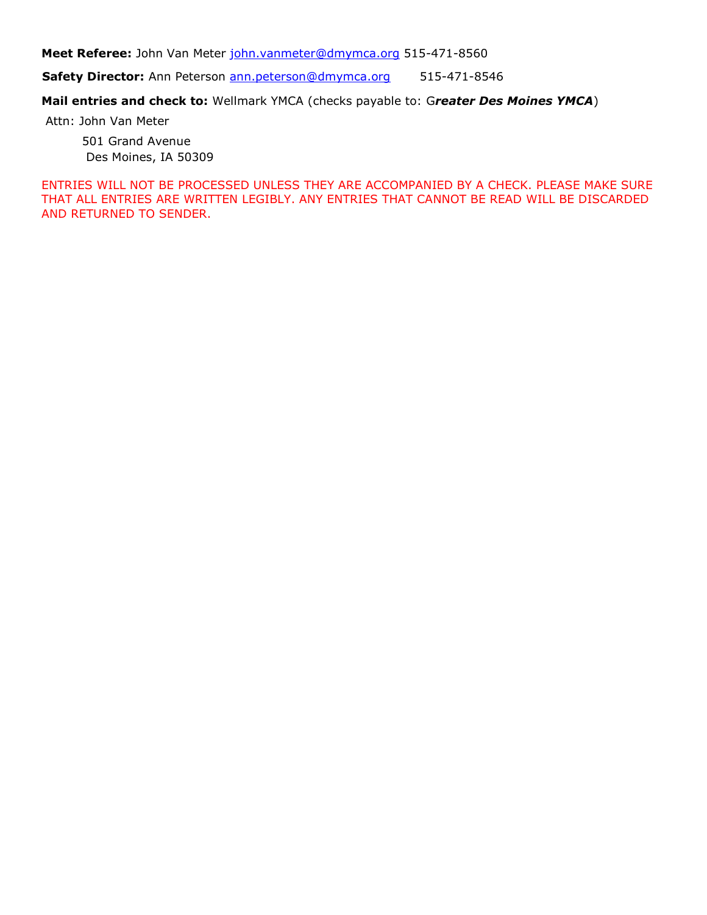**Meet Referee:** John Van Meter john.vanmeter@dmymca.org 515-471-8560

**Safety Director:** Ann Peterson ann.peterson@dmymca.org 515-471-8546

**Mail entries and check to:** Wellmark YMCA (checks payable to: G*reater Des Moines YMCA*)

Attn: John Van Meter

 501 Grand Avenue Des Moines, IA 50309

ENTRIES WILL NOT BE PROCESSED UNLESS THEY ARE ACCOMPANIED BY A CHECK. PLEASE MAKE SURE THAT ALL ENTRIES ARE WRITTEN LEGIBLY. ANY ENTRIES THAT CANNOT BE READ WILL BE DISCARDED AND RETURNED TO SENDER.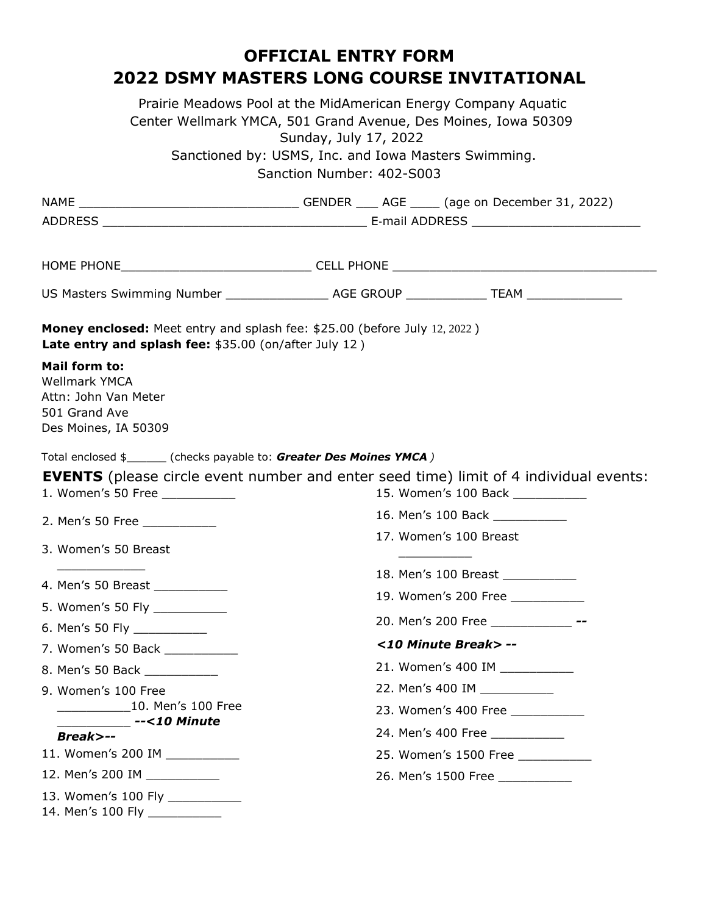## **OFFICIAL ENTRY FORM 2022 DSMY MASTERS LONG COURSE INVITATIONAL**

Prairie Meadows Pool at the MidAmerican Energy Company Aquatic Center Wellmark YMCA, 501 Grand Avenue, Des Moines, Iowa 50309 Sunday, July 17, 2022 Sanctioned by: USMS, Inc. and Iowa Masters Swimming.

Sanction Number: 402-S003

| <b>Money enclosed:</b> Meet entry and splash fee: \$25.00 (before July 12, 2022)<br>Late entry and splash fee: \$35.00 (on/after July 12) |                               |                                |                                  |  |  |
|-------------------------------------------------------------------------------------------------------------------------------------------|-------------------------------|--------------------------------|----------------------------------|--|--|
| <b>Mail form to:</b><br><b>Wellmark YMCA</b><br>Attn: John Van Meter<br>501 Grand Ave<br>Des Moines, IA 50309                             |                               |                                |                                  |  |  |
| Total enclosed \$______ (checks payable to: Greater Des Moines YMCA)                                                                      |                               |                                |                                  |  |  |
| <b>EVENTS</b> (please circle event number and enter seed time) limit of 4 individual events:<br>1. Women's 50 Free ___________            |                               |                                | 15. Women's 100 Back ___________ |  |  |
| 2. Men's 50 Free                                                                                                                          | 16. Men's 100 Back __________ |                                |                                  |  |  |
| 3. Women's 50 Breast                                                                                                                      | 17. Women's 100 Breast        |                                |                                  |  |  |
|                                                                                                                                           |                               |                                | 18. Men's 100 Breast ___________ |  |  |
| 4. Men's 50 Breast ____________                                                                                                           |                               |                                | 19. Women's 200 Free ___________ |  |  |
| 5. Women's 50 Fly ___________<br>6. Men's 50 Fly ____________                                                                             |                               |                                |                                  |  |  |
| 7. Women's 50 Back ___________                                                                                                            |                               | <10 Minute Break> --           |                                  |  |  |
| 8. Men's 50 Back ____________                                                                                                             |                               | 21. Women's 400 IM __________  |                                  |  |  |
| 9. Women's 100 Free<br>________________10. Men's 100 Free                                                                                 |                               |                                | 22. Men's 400 IM                 |  |  |
|                                                                                                                                           |                               | 23. Women's 400 Free _________ |                                  |  |  |
| --<10 Minute<br><b>Break&gt;--</b>                                                                                                        |                               |                                | 24. Men's 400 Free __________    |  |  |
| 11. Women's 200 IM __________                                                                                                             |                               | 25. Women's 1500 Free          |                                  |  |  |
| 12. Men's 200 IM ___________                                                                                                              |                               | 26. Men's 1500 Free            |                                  |  |  |
| 13. Women's 100 Fly ___________<br>14. Men's 100 Fly ___________                                                                          |                               |                                |                                  |  |  |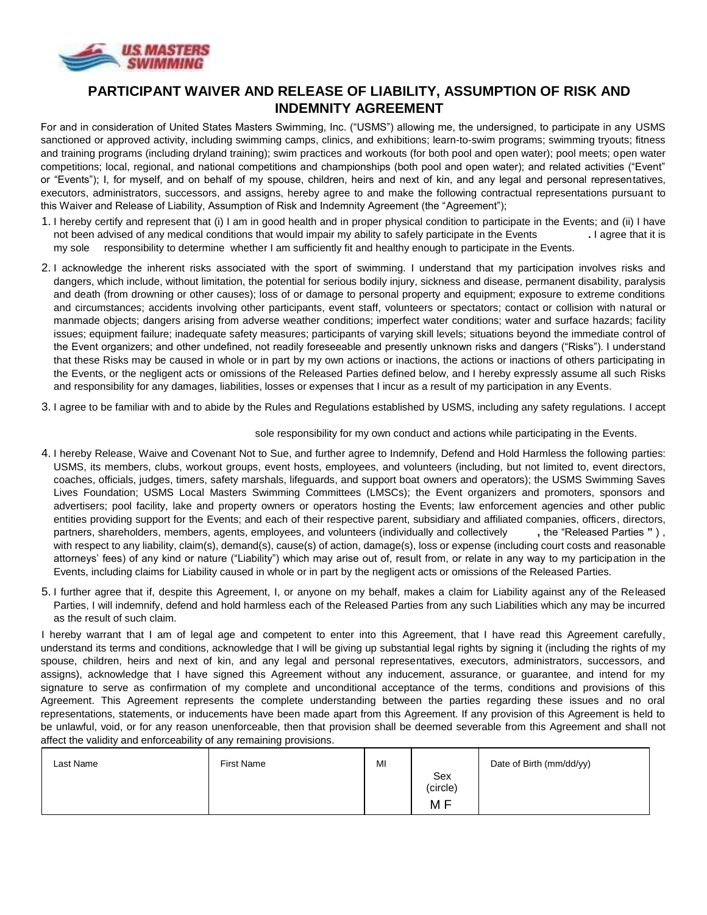

## **PARTICIPANT WAIVER AND RELEASE OF LIABILITY, ASSUMPTION OF RISK AND INDEMNITY AGREEMENT**

For and in consideration of United States Masters Swimming, Inc. ("USMS") allowing me, the undersigned, to participate in any USMS sanctioned or approved activity, including swimming camps, clinics, and exhibitions; learn-to-swim programs; swimming tryouts; fitness and training programs (including dryland training); swim practices and workouts (for both pool and open water); pool meets; open water competitions; local, regional, and national competitions and championships (both pool and open water); and related activities ("Event" or "Events"); I, for myself, and on behalf of my spouse, children, heirs and next of kin, and any legal and personal representatives, executors, administrators, successors, and assigns, hereby agree to and make the following contractual representations pursuant to this Waiver and Release of Liability, Assumption of Risk and Indemnity Agreement (the "Agreement");

- 1. I hereby certify and represent that (i) I am in good health and in proper physical condition to participate in the Events; and (ii) I have not been advised of any medical conditions that would impair my ability to safely participate in the Events **.** I agree that it is my sole responsibility to determine whether I am sufficiently fit and healthy enough to participate in the Events.
- 2. I acknowledge the inherent risks associated with the sport of swimming. I understand that my participation involves risks and dangers, which include, without limitation, the potential for serious bodily injury, sickness and disease, permanent disability, paralysis and death (from drowning or other causes); loss of or damage to personal property and equipment; exposure to extreme conditions and circumstances; accidents involving other participants, event staff, volunteers or spectators; contact or collision with natural or manmade objects; dangers arising from adverse weather conditions; imperfect water conditions; water and surface hazards; facility issues; equipment failure; inadequate safety measures; participants of varying skill levels; situations beyond the immediate control of the Event organizers; and other undefined, not readily foreseeable and presently unknown risks and dangers ("Risks"). I understand that these Risks may be caused in whole or in part by my own actions or inactions, the actions or inactions of others participating in the Events, or the negligent acts or omissions of the Released Parties defined below, and I hereby expressly assume all such Risks and responsibility for any damages, liabilities, losses or expenses that I incur as a result of my participation in any Events.
- 3. I agree to be familiar with and to abide by the Rules and Regulations established by USMS, including any safety regulations. I accept

sole responsibility for my own conduct and actions while participating in the Events.

- 4. I hereby Release, Waive and Covenant Not to Sue, and further agree to Indemnify, Defend and Hold Harmless the following parties: USMS, its members, clubs, workout groups, event hosts, employees, and volunteers (including, but not limited to, event directors, coaches, officials, judges, timers, safety marshals, lifeguards, and support boat owners and operators); the USMS Swimming Saves Lives Foundation; USMS Local Masters Swimming Committees (LMSCs); the Event organizers and promoters, sponsors and advertisers; pool facility, lake and property owners or operators hosting the Events; law enforcement agencies and other public entities providing support for the Events; and each of their respective parent, subsidiary and affiliated companies, officers, directors, partners, shareholders, members, agents, employees, and volunteers (individually and collectively **,** the "Released Parties **"** ) , with respect to any liability, claim(s), demand(s), cause(s) of action, damage(s), loss or expense (including court costs and reasonable attorneys' fees) of any kind or nature ("Liability") which may arise out of, result from, or relate in any way to my participation in the Events, including claims for Liability caused in whole or in part by the negligent acts or omissions of the Released Parties.
- 5. I further agree that if, despite this Agreement, I, or anyone on my behalf, makes a claim for Liability against any of the Released Parties, I will indemnify, defend and hold harmless each of the Released Parties from any such Liabilities which any may be incurred as the result of such claim.

I hereby warrant that I am of legal age and competent to enter into this Agreement, that I have read this Agreement carefully, understand its terms and conditions, acknowledge that I will be giving up substantial legal rights by signing it (including the rights of my spouse, children, heirs and next of kin, and any legal and personal representatives, executors, administrators, successors, and assigns), acknowledge that I have signed this Agreement without any inducement, assurance, or guarantee, and intend for my signature to serve as confirmation of my complete and unconditional acceptance of the terms, conditions and provisions of this Agreement. This Agreement represents the complete understanding between the parties regarding these issues and no oral representations, statements, or inducements have been made apart from this Agreement. If any provision of this Agreement is held to be unlawful, void, or for any reason unenforceable, then that provision shall be deemed severable from this Agreement and shall not affect the validity and enforceability of any remaining provisions.

| Last Name | First Name | MI |                 | Date of Birth (mm/dd/yy) |
|-----------|------------|----|-----------------|--------------------------|
|           |            |    | Sex<br>(circle) |                          |
|           |            |    | M F             |                          |